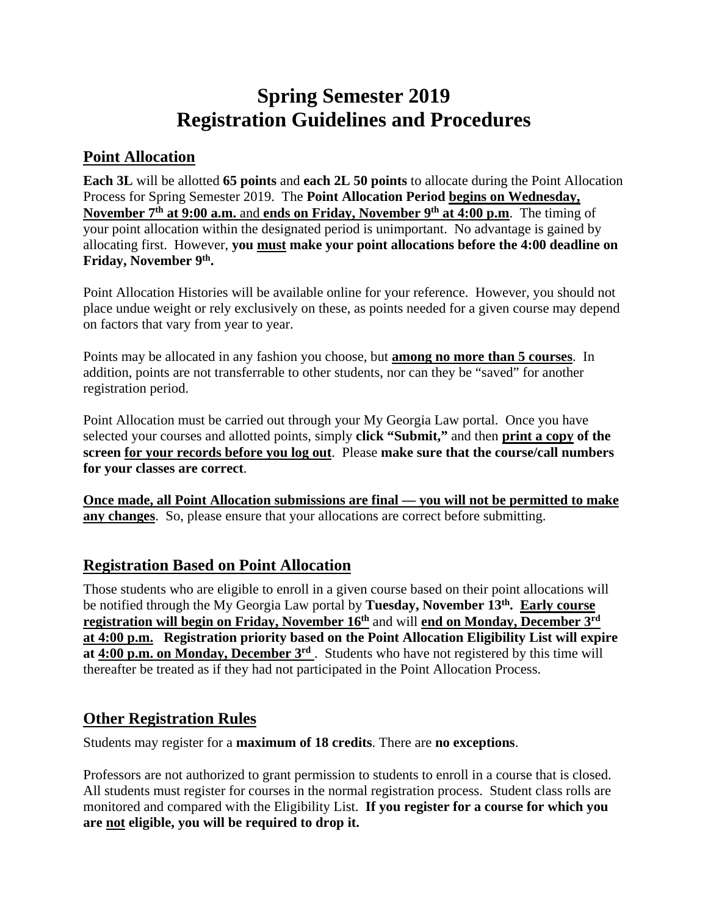# **Spring Semester 2019 Registration Guidelines and Procedures**

#### **Point Allocation**

**Each 3L** will be allotted **65 points** and **each 2L 50 points** to allocate during the Point Allocation Process for Spring Semester 2019. The **Point Allocation Period begins on Wednesday, November 7th at 9:00 a.m.** and **ends on Friday, November 9th at 4:00 p.m**. The timing of your point allocation within the designated period is unimportant. No advantage is gained by allocating first. However, **you must make your point allocations before the 4:00 deadline on Friday, November 9th.** 

Point Allocation Histories will be available online for your reference. However, you should not place undue weight or rely exclusively on these, as points needed for a given course may depend on factors that vary from year to year.

Points may be allocated in any fashion you choose, but **among no more than 5 courses**. In addition, points are not transferrable to other students, nor can they be "saved" for another registration period.

Point Allocation must be carried out through your My Georgia Law portal. Once you have selected your courses and allotted points, simply **click "Submit,"** and then **print a copy of the screen for your records before you log out**. Please **make sure that the course/call numbers for your classes are correct**.

**Once made, all Point Allocation submissions are final — you will not be permitted to make any changes**. So, please ensure that your allocations are correct before submitting.

# **Registration Based on Point Allocation**

Those students who are eligible to enroll in a given course based on their point allocations will be notified through the My Georgia Law portal by **Tuesday, November 13th. Early course registration will begin on Friday, November 16th** and will **end on Monday, December 3rd at 4:00 p.m. Registration priority based on the Point Allocation Eligibility List will expire**  at **4:00 p.m. on Monday, December 3<sup>rd</sup>**. Students who have not registered by this time will thereafter be treated as if they had not participated in the Point Allocation Process.

#### **Other Registration Rules**

Students may register for a **maximum of 18 credits**. There are **no exceptions**.

Professors are not authorized to grant permission to students to enroll in a course that is closed. All students must register for courses in the normal registration process. Student class rolls are monitored and compared with the Eligibility List. **If you register for a course for which you are not eligible, you will be required to drop it.**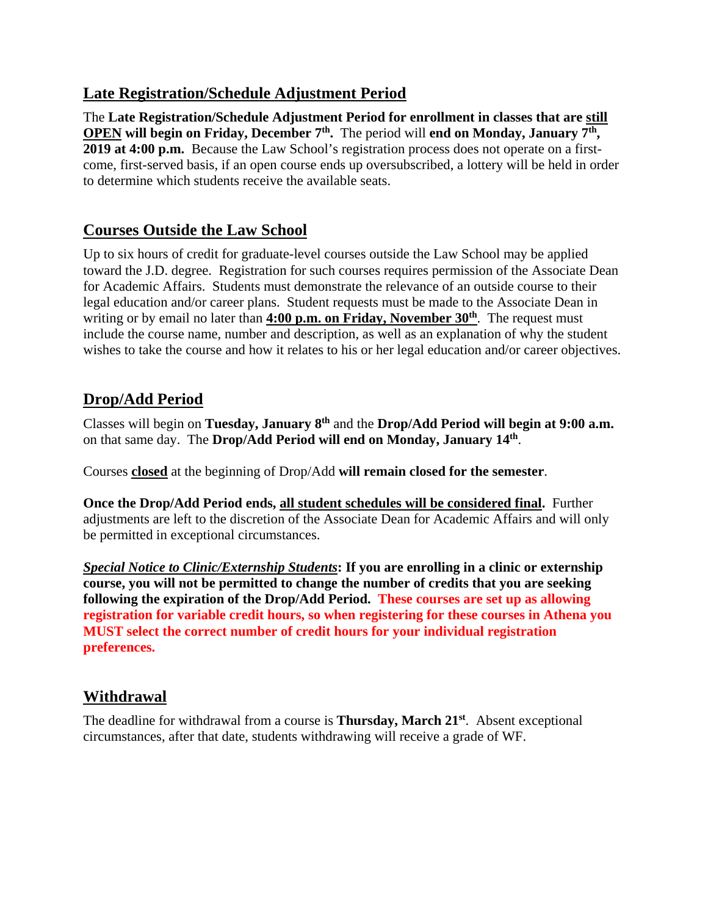#### **Late Registration/Schedule Adjustment Period**

The **Late Registration/Schedule Adjustment Period for enrollment in classes that are still OPEN** will begin on Friday, December 7<sup>th</sup>. The period will end on Monday, January 7<sup>th</sup>, **2019 at 4:00 p.m.** Because the Law School's registration process does not operate on a firstcome, first-served basis, if an open course ends up oversubscribed, a lottery will be held in order to determine which students receive the available seats.

# **Courses Outside the Law School**

Up to six hours of credit for graduate-level courses outside the Law School may be applied toward the J.D. degree. Registration for such courses requires permission of the Associate Dean for Academic Affairs. Students must demonstrate the relevance of an outside course to their legal education and/or career plans. Student requests must be made to the Associate Dean in writing or by email no later than **4:00 p.m. on Friday, November 30<sup>th</sup>**. The request must include the course name, number and description, as well as an explanation of why the student wishes to take the course and how it relates to his or her legal education and/or career objectives.

# **Drop/Add Period**

Classes will begin on **Tuesday, January 8th** and the **Drop/Add Period will begin at 9:00 a.m.** on that same day. The **Drop/Add Period will end on Monday, January 14th**.

Courses **closed** at the beginning of Drop/Add **will remain closed for the semester**.

**Once the Drop/Add Period ends, all student schedules will be considered final.** Further adjustments are left to the discretion of the Associate Dean for Academic Affairs and will only be permitted in exceptional circumstances.

*Special Notice to Clinic/Externship Students***: If you are enrolling in a clinic or externship course, you will not be permitted to change the number of credits that you are seeking following the expiration of the Drop/Add Period. These courses are set up as allowing registration for variable credit hours, so when registering for these courses in Athena you MUST select the correct number of credit hours for your individual registration preferences.**

# **Withdrawal**

The deadline for withdrawal from a course is **Thursday, March 21st**. Absent exceptional circumstances, after that date, students withdrawing will receive a grade of WF.